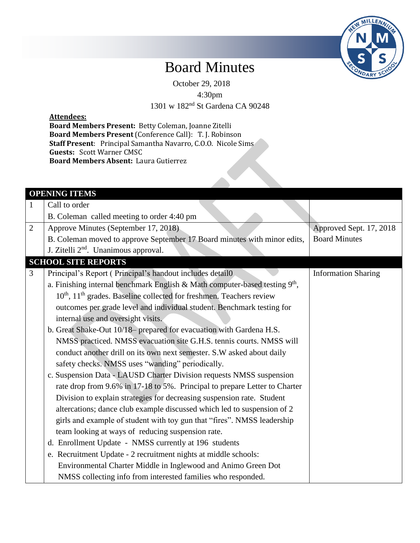

## Board Minutes

October 29, 2018

4:30pm

1301 w 182nd St Gardena CA 90248

## **Attendees:**

**Board Members Present:** Betty Coleman, Joanne Zitelli **Board Members Present** (Conference Call): T. J. Robinson **Staff Present**: Principal Samantha Navarro, C.O.O. Nicole Sims **Guests:** Scott Warner CMSC **Board Members Absent:** Laura Gutierrez

|                | <b>OPENING ITEMS</b>                                                                         |                            |
|----------------|----------------------------------------------------------------------------------------------|----------------------------|
| 1              | Call to order                                                                                |                            |
|                | B. Coleman called meeting to order 4:40 pm                                                   |                            |
| $\overline{2}$ | Approve Minutes (September 17, 2018)                                                         | Approved Sept. 17, 2018    |
|                | B. Coleman moved to approve September 17 Board minutes with minor edits,                     | <b>Board Minutes</b>       |
|                | J. Zitelli 2 <sup>nd</sup> . Unanimous approval.                                             |                            |
|                | <b>SCHOOL SITE REPORTS</b>                                                                   |                            |
| 3              | Principal's Report (Principal's handout includes detail0                                     | <b>Information Sharing</b> |
|                | a. Finishing internal benchmark English & Math computer-based testing 9 <sup>th</sup> ,      |                            |
|                | 10 <sup>th</sup> , 11 <sup>th</sup> grades. Baseline collected for freshmen. Teachers review |                            |
|                | outcomes per grade level and individual student. Benchmark testing for                       |                            |
|                | internal use and oversight visits.                                                           |                            |
|                | b. Great Shake-Out 10/18- prepared for evacuation with Gardena H.S.                          |                            |
|                | NMSS practiced. NMSS evacuation site G.H.S. tennis courts. NMSS will                         |                            |
|                | conduct another drill on its own next semester. S.W asked about daily                        |                            |
|                | safety checks. NMSS uses "wanding" periodically.                                             |                            |
|                | c. Suspension Data - LAUSD Charter Division requests NMSS suspension                         |                            |
|                | rate drop from 9.6% in 17-18 to 5%. Principal to prepare Letter to Charter                   |                            |
|                | Division to explain strategies for decreasing suspension rate. Student                       |                            |
|                | altercations; dance club example discussed which led to suspension of 2                      |                            |
|                | girls and example of student with toy gun that "fires". NMSS leadership                      |                            |
|                | team looking at ways of reducing suspension rate.                                            |                            |
|                | d. Enrollment Update - NMSS currently at 196 students                                        |                            |
|                | e. Recruitment Update - 2 recruitment nights at middle schools:                              |                            |
|                | Environmental Charter Middle in Inglewood and Animo Green Dot                                |                            |
|                | NMSS collecting info from interested families who responded.                                 |                            |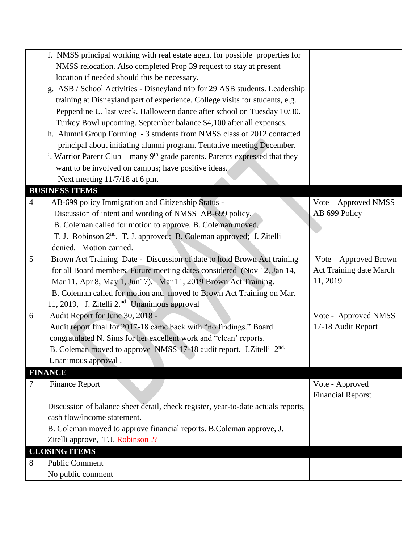|                | f. NMSS principal working with real estate agent for possible properties for      |                          |
|----------------|-----------------------------------------------------------------------------------|--------------------------|
|                | NMSS relocation. Also completed Prop 39 request to stay at present                |                          |
|                | location if needed should this be necessary.                                      |                          |
|                | g. ASB / School Activities - Disneyland trip for 29 ASB students. Leadership      |                          |
|                | training at Disneyland part of experience. College visits for students, e.g.      |                          |
|                | Pepperdine U. last week. Halloween dance after school on Tuesday 10/30.           |                          |
|                | Turkey Bowl upcoming. September balance \$4,100 after all expenses.               |                          |
|                | h. Alumni Group Forming - 3 students from NMSS class of 2012 contacted            |                          |
|                | principal about initiating alumni program. Tentative meeting December.            |                          |
|                | i. Warrior Parent Club – many $9th$ grade parents. Parents expressed that they    |                          |
|                | want to be involved on campus; have positive ideas.                               |                          |
|                | Next meeting 11/7/18 at 6 pm.                                                     |                          |
|                | <b>BUSINESS ITEMS</b>                                                             |                          |
| $\overline{4}$ | AB-699 policy Immigration and Citizenship Status -                                | Vote – Approved NMSS     |
|                | Discussion of intent and wording of NMSS AB-699 policy.                           | AB 699 Policy            |
|                | B. Coleman called for motion to approve. B. Coleman moved,                        |                          |
|                | T. J. Robinson 2 <sup>nd</sup> . T. J. approved; B. Coleman approved; J. Zitelli  |                          |
|                | denied. Motion carried.                                                           |                          |
| 5              | Brown Act Training Date - Discussion of date to hold Brown Act training           | Vote – Approved Brown    |
|                | for all Board members. Future meeting dates considered (Nov 12, Jan 14,           | Act Training date March  |
|                | Mar 11, Apr 8, May 1, Jun17). Mar 11, 2019 Brown Act Training.                    | 11, 2019                 |
|                | B. Coleman called for motion and moved to Brown Act Training on Mar.              |                          |
|                | 11, 2019, J. Zitelli 2. <sup>nd</sup> Unanimous approval                          |                          |
| 6              | Audit Report for June 30, 2018 -                                                  | Vote - Approved NMSS     |
|                | Audit report final for 2017-18 came back with "no findings." Board                | 17-18 Audit Report       |
|                | congratulated N. Sims for her excellent work and "clean' reports.                 |                          |
|                | B. Coleman moved to approve NMSS 17-18 audit report. J.Zitelli 2 <sup>nd.</sup>   |                          |
|                | Unanimous approval.                                                               |                          |
|                | <b>FINANCE</b>                                                                    |                          |
| 7              | <b>Finance Report</b>                                                             | Vote - Approved          |
|                |                                                                                   | <b>Financial Reporst</b> |
|                | Discussion of balance sheet detail, check register, year-to-date actuals reports, |                          |
|                | cash flow/income statement.                                                       |                          |
|                | B. Coleman moved to approve financial reports. B. Coleman approve, J.             |                          |
|                | Zitelli approve, T.J. Robinson ??                                                 |                          |
|                | <b>CLOSING ITEMS</b>                                                              |                          |
| 8              | <b>Public Comment</b>                                                             |                          |
|                | No public comment                                                                 |                          |